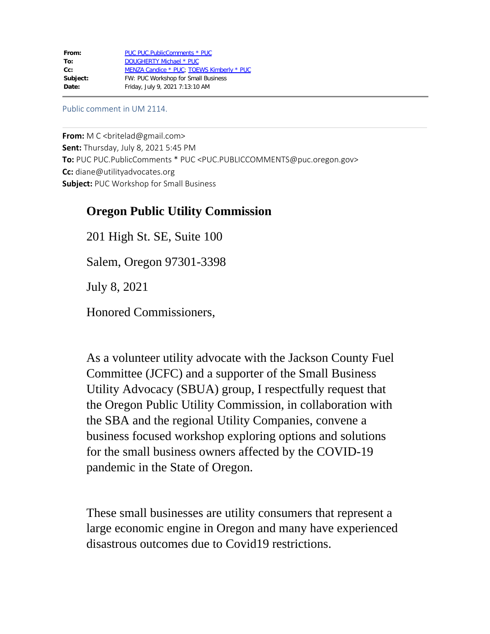Public comment in UM 2114.

**From:** M C < britelad@gmail.com> **Sent:** Thursday, July 8, 2021 5:45 PM **To:** PUC PUC.PublicComments \* PUC <PUC.PUBLICCOMMENTS@puc.oregon.gov> **Cc:** diane@utilityadvocates.org **Subject:** PUC Workshop for Small Business

## **Oregon Public Utility Commission**

201 High St. SE, Suite 100 Salem, Oregon 97301-3398

July 8, 2021

Honored Commissioners,

As a volunteer utility advocate with the Jackson County Fuel Committee (JCFC) and a supporter of the Small Business Utility Advocacy (SBUA) group, I respectfully request that the Oregon Public Utility Commission, in collaboration with the SBA and the regional Utility Companies, convene a business focused workshop exploring options and solutions for the small business owners affected by the COVID-19 pandemic in the State of Oregon.

These small businesses are utility consumers that represent a large economic engine in Oregon and many have experienced disastrous outcomes due to Covid19 restrictions.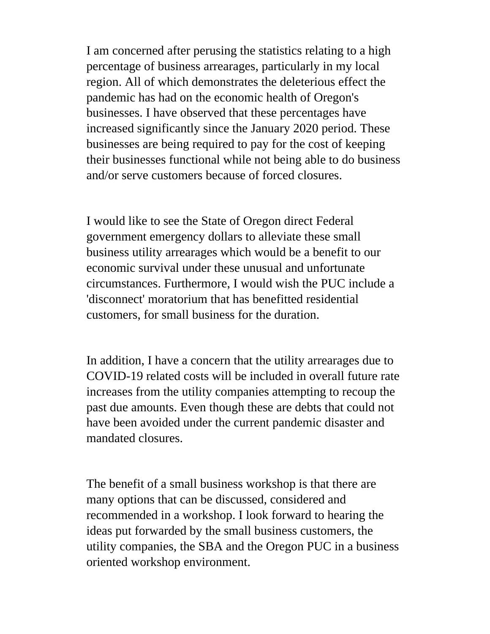I am concerned after perusing the statistics relating to a high percentage of business arrearages, particularly in my local region. All of which demonstrates the deleterious effect the pandemic has had on the economic health of Oregon's businesses. I have observed that these percentages have increased significantly since the January 2020 period. These businesses are being required to pay for the cost of keeping their businesses functional while not being able to do business and/or serve customers because of forced closures.

I would like to see the State of Oregon direct Federal government emergency dollars to alleviate these small business utility arrearages which would be a benefit to our economic survival under these unusual and unfortunate circumstances. Furthermore, I would wish the PUC include a 'disconnect' moratorium that has benefitted residential customers, for small business for the duration.

In addition, I have a concern that the utility arrearages due to COVID-19 related costs will be included in overall future rate increases from the utility companies attempting to recoup the past due amounts. Even though these are debts that could not have been avoided under the current pandemic disaster and mandated closures.

The benefit of a small business workshop is that there are many options that can be discussed, considered and recommended in a workshop. I look forward to hearing the ideas put forwarded by the small business customers, the utility companies, the SBA and the Oregon PUC in a business oriented workshop environment.